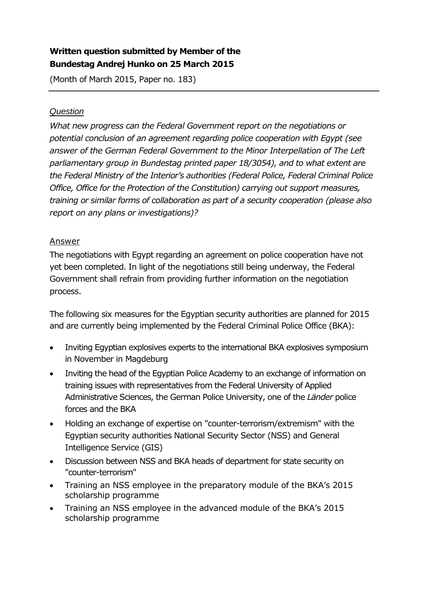## **Written question submitted by Member of the Bundestag Andrej Hunko on 25 March 2015**

(Month of March 2015, Paper no. 183)

## *Question*

*What new progress can the Federal Government report on the negotiations or potential conclusion of an agreement regarding police cooperation with Egypt (see* answer of the German Federal Government to the Minor Interpellation of The Left *parliamentary group in Bundestag printed paper 18/3054), and to what extent are the Federal Ministry of the Interior's authorities (Federal Police, Federal Criminal Police Office, Office for the Protection of the Constitution) carrying out support measures, training or similar forms of collaboration as part of a security cooperation (please also report on any plans or investigations)?*

## Answer

The negotiations with Egypt regarding an agreement on police cooperation have not yet been completed. In light of the negotiations still being underway, the Federal Government shall refrain from providing further information on the negotiation process.

The following six measures for the Egyptian security authorities are planned for 2015 and are currently being implemented by the Federal Criminal Police Office (BKA):

- Inviting Egyptian explosives experts to the international BKA explosives symposium in November in Magdeburg
- Inviting the head of the Egyptian Police Academy to an exchange of information on training issues with representatives from the Federal University of Applied Administrative Sciences, the German Police University, one of the *Länder* police forces and the BKA
- Holding an exchange of expertise on "counter-terrorism/extremism" with the Egyptian security authorities National Security Sector (NSS) and General Intelligence Service (GIS)
- Discussion between NSS and BKA heads of department for state security on "counter-terrorism"
- Training an NSS employee in the preparatory module of the BKA's 2015 scholarship programme
- Training an NSS employee in the advanced module of the BKA's 2015 scholarship programme